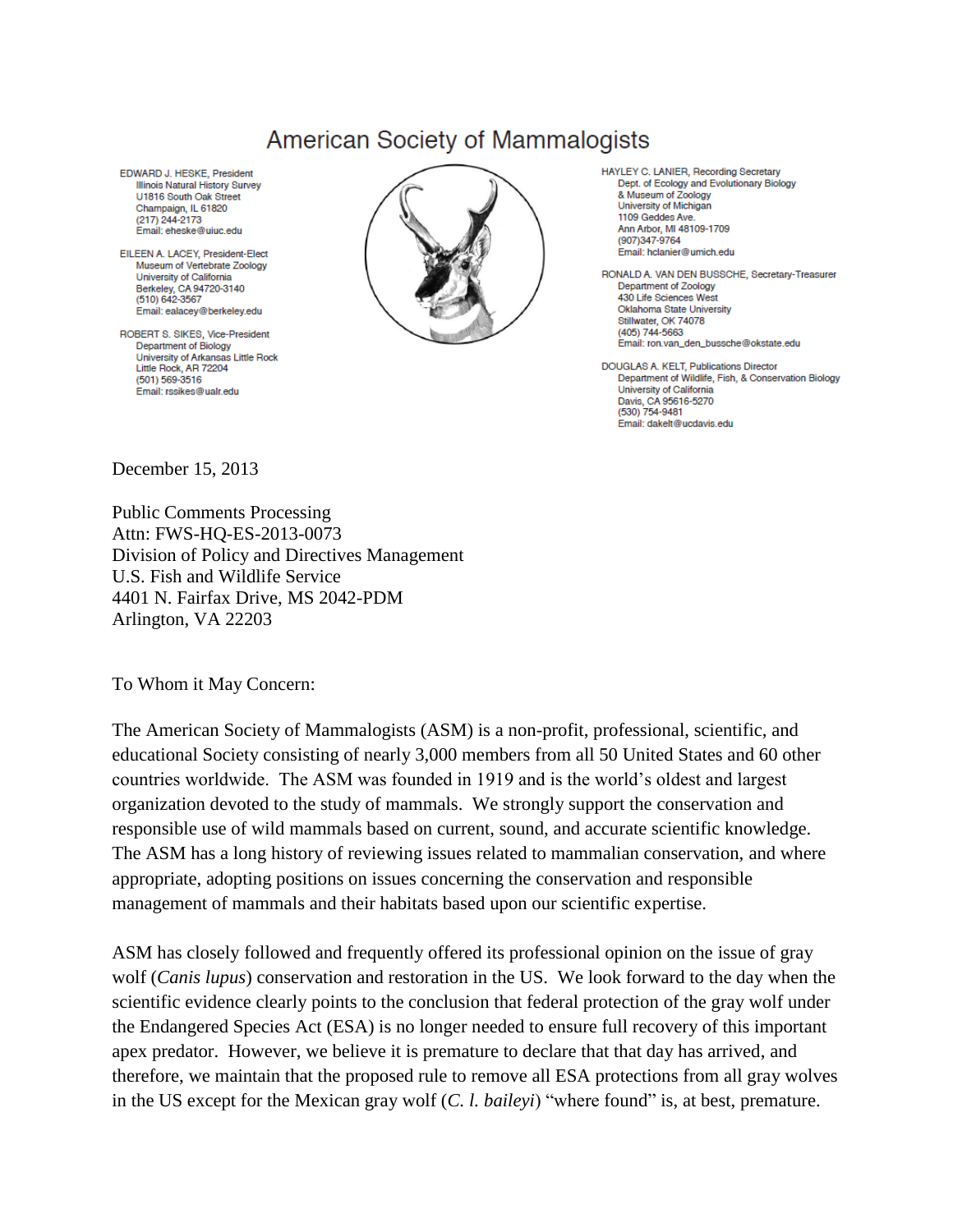## **American Society of Mammalogists**

EDWARD J. HESKE, President Illinois Natural History Survey U1816 South Oak Street Champaign, IL 61820 (217) 244-2173 Email: eheske@ujuc.edu

EILEEN A. LACEY, President-Elect Museum of Vertebrate Zoology University of California Berkeley, CA 94720-3140 (510) 642-3567 Email: ealacey@berkeley.edu

ROBERT S. SIKES, Vice-President Department of Biology University of Arkansas Little Rock Little Rock, AR 72204 (501) 569-3516 Email: rssikes@ualr.edu



HAYLEY C. LANIER, Recording Secretary Dept. of Ecology and Evolutionary Biology & Museum of Zoology University of Michigan 1109 Geddes Ave. Ann Arbor MI 48109-1709 (907)347-9764 Email: hclanier@umich.edu

RONALD A. VAN DEN BUSSCHE, Secretary-Treasurer Department of Zoology 430 Life Sciences West Oklahoma State University Stillwater, OK 74078  $(405)$  744-5663 Email: ron.van\_den\_bussche@okstate.edu

DOUGLAS A. KELT, Publications Director Department of Wildlife, Fish, & Conservation Biology University of California Davis, CA 95616-5270 (530) 754-9481 Email: dakelt@ucdavis.edu

December 15, 2013

Public Comments Processing Attn: FWS-HQ-ES-2013-0073 Division of Policy and Directives Management U.S. Fish and Wildlife Service 4401 N. Fairfax Drive, MS 2042-PDM Arlington, VA 22203

To Whom it May Concern:

The American Society of Mammalogists (ASM) is a non-profit, professional, scientific, and educational Society consisting of nearly 3,000 members from all 50 United States and 60 other countries worldwide. The ASM was founded in 1919 and is the world's oldest and largest organization devoted to the study of mammals. We strongly support the conservation and responsible use of wild mammals based on current, sound, and accurate scientific knowledge. The ASM has a long history of reviewing issues related to mammalian conservation, and where appropriate, adopting positions on issues concerning the conservation and responsible management of mammals and their habitats based upon our scientific expertise.

ASM has closely followed and frequently offered its professional opinion on the issue of gray wolf (*Canis lupus*) conservation and restoration in the US. We look forward to the day when the scientific evidence clearly points to the conclusion that federal protection of the gray wolf under the Endangered Species Act (ESA) is no longer needed to ensure full recovery of this important apex predator. However, we believe it is premature to declare that that day has arrived, and therefore, we maintain that the proposed rule to remove all ESA protections from all gray wolves in the US except for the Mexican gray wolf (*C. l. baileyi*) "where found" is, at best, premature.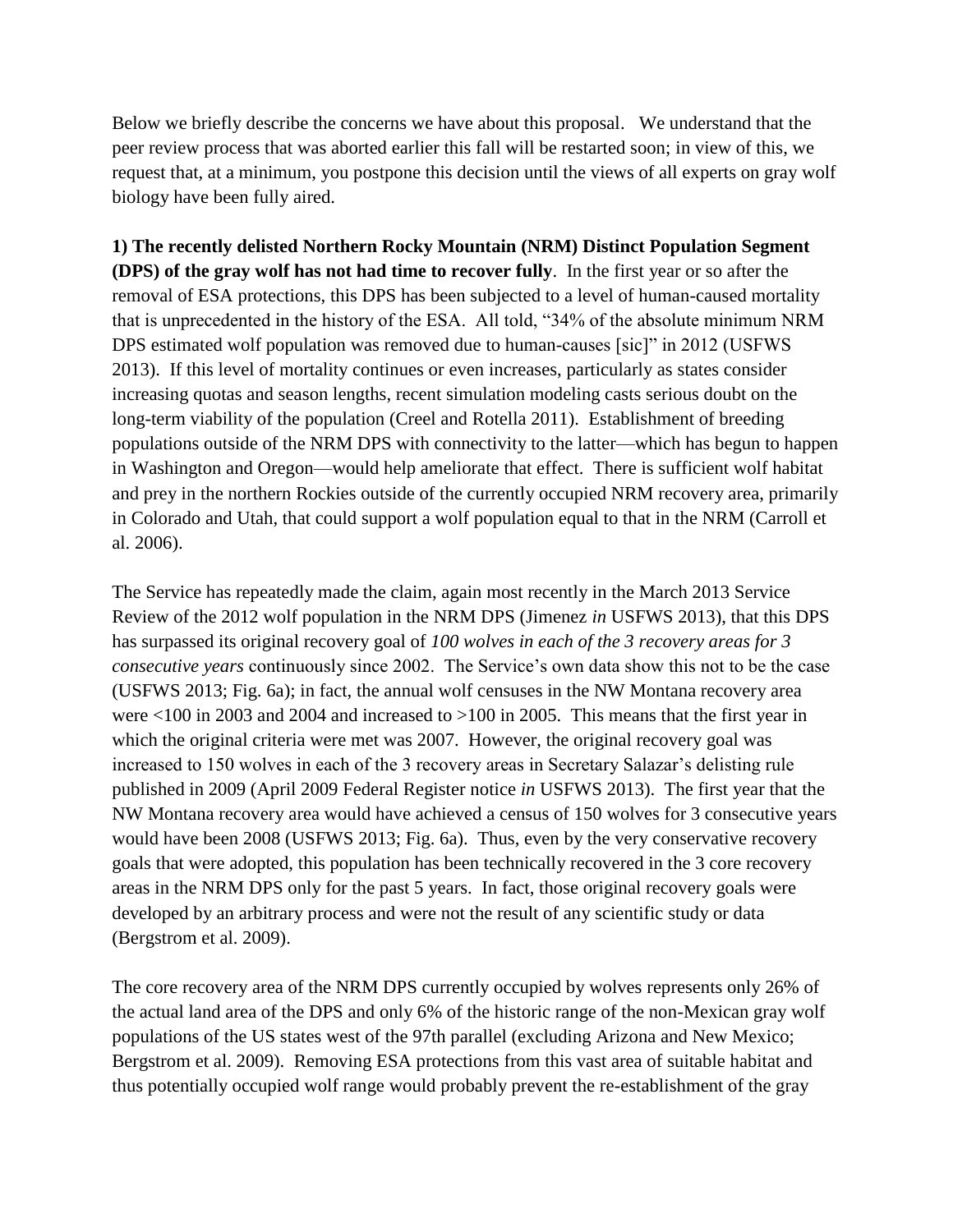Below we briefly describe the concerns we have about this proposal. We understand that the peer review process that was aborted earlier this fall will be restarted soon; in view of this, we request that, at a minimum, you postpone this decision until the views of all experts on gray wolf biology have been fully aired.

**1) The recently delisted Northern Rocky Mountain (NRM) Distinct Population Segment (DPS) of the gray wolf has not had time to recover fully**. In the first year or so after the removal of ESA protections, this DPS has been subjected to a level of human-caused mortality that is unprecedented in the history of the ESA. All told, "34% of the absolute minimum NRM DPS estimated wolf population was removed due to human-causes [sic]" in 2012 (USFWS 2013). If this level of mortality continues or even increases, particularly as states consider increasing quotas and season lengths, recent simulation modeling casts serious doubt on the long-term viability of the population (Creel and Rotella 2011). Establishment of breeding populations outside of the NRM DPS with connectivity to the latter—which has begun to happen in Washington and Oregon—would help ameliorate that effect. There is sufficient wolf habitat and prey in the northern Rockies outside of the currently occupied NRM recovery area, primarily in Colorado and Utah, that could support a wolf population equal to that in the NRM (Carroll et al. 2006).

The Service has repeatedly made the claim, again most recently in the March 2013 Service Review of the 2012 wolf population in the NRM DPS (Jimenez *in* USFWS 2013), that this DPS has surpassed its original recovery goal of *100 wolves in each of the 3 recovery areas for 3 consecutive years* continuously since 2002. The Service's own data show this not to be the case (USFWS 2013; Fig. 6a); in fact, the annual wolf censuses in the NW Montana recovery area were <100 in 2003 and 2004 and increased to >100 in 2005. This means that the first year in which the original criteria were met was 2007. However, the original recovery goal was increased to 150 wolves in each of the 3 recovery areas in Secretary Salazar's delisting rule published in 2009 (April 2009 Federal Register notice *in* USFWS 2013). The first year that the NW Montana recovery area would have achieved a census of 150 wolves for 3 consecutive years would have been 2008 (USFWS 2013; Fig. 6a). Thus, even by the very conservative recovery goals that were adopted, this population has been technically recovered in the 3 core recovery areas in the NRM DPS only for the past 5 years. In fact, those original recovery goals were developed by an arbitrary process and were not the result of any scientific study or data (Bergstrom et al. 2009).

The core recovery area of the NRM DPS currently occupied by wolves represents only 26% of the actual land area of the DPS and only 6% of the historic range of the non-Mexican gray wolf populations of the US states west of the 97th parallel (excluding Arizona and New Mexico; Bergstrom et al. 2009). Removing ESA protections from this vast area of suitable habitat and thus potentially occupied wolf range would probably prevent the re-establishment of the gray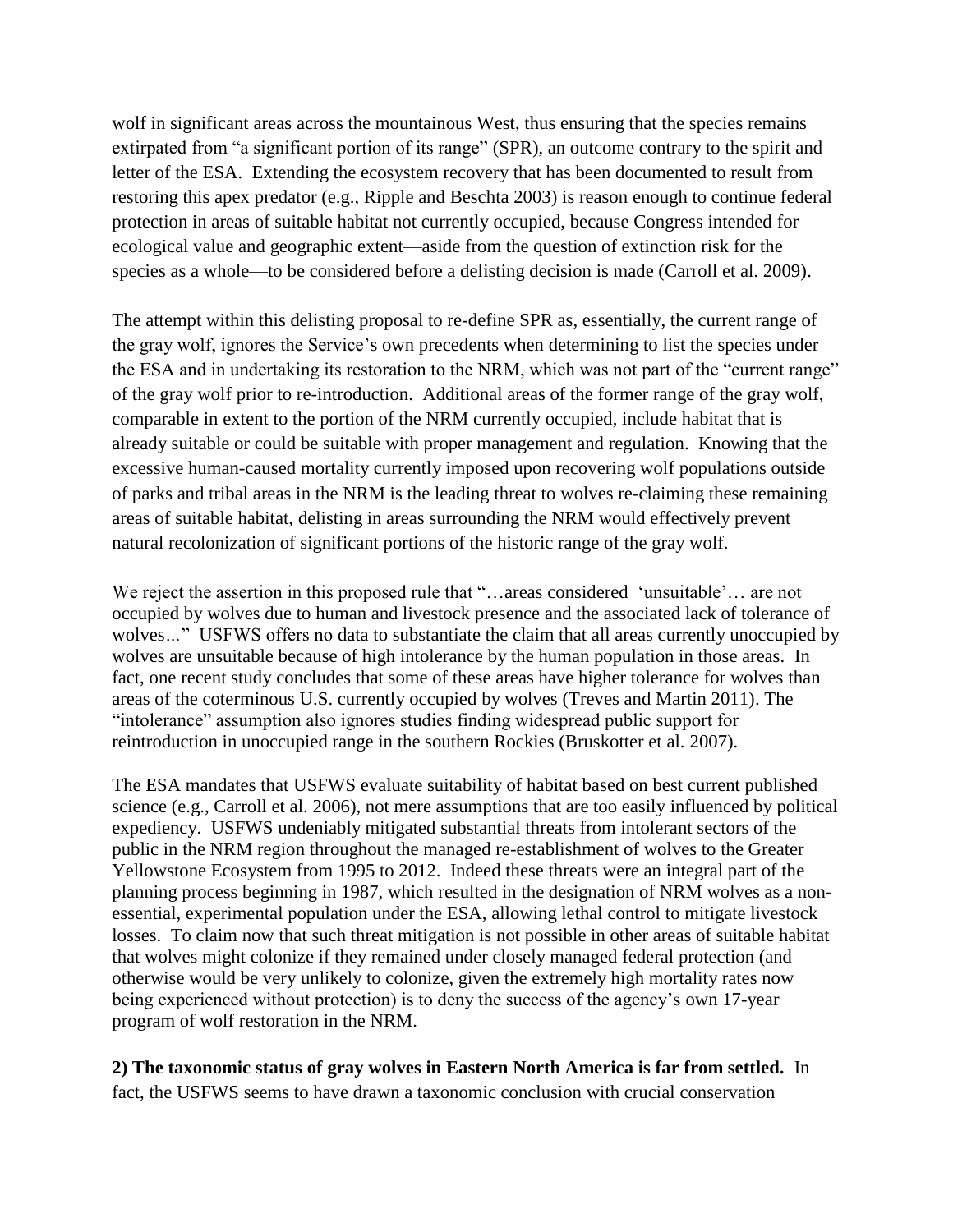wolf in significant areas across the mountainous West, thus ensuring that the species remains extirpated from "a significant portion of its range" (SPR), an outcome contrary to the spirit and letter of the ESA. Extending the ecosystem recovery that has been documented to result from restoring this apex predator (e.g., Ripple and Beschta 2003) is reason enough to continue federal protection in areas of suitable habitat not currently occupied, because Congress intended for ecological value and geographic extent—aside from the question of extinction risk for the species as a whole—to be considered before a delisting decision is made (Carroll et al. 2009).

The attempt within this delisting proposal to re-define SPR as, essentially, the current range of the gray wolf, ignores the Service's own precedents when determining to list the species under the ESA and in undertaking its restoration to the NRM, which was not part of the "current range" of the gray wolf prior to re-introduction. Additional areas of the former range of the gray wolf, comparable in extent to the portion of the NRM currently occupied, include habitat that is already suitable or could be suitable with proper management and regulation. Knowing that the excessive human-caused mortality currently imposed upon recovering wolf populations outside of parks and tribal areas in the NRM is the leading threat to wolves re-claiming these remaining areas of suitable habitat, delisting in areas surrounding the NRM would effectively prevent natural recolonization of significant portions of the historic range of the gray wolf.

We reject the assertion in this proposed rule that "...areas considered 'unsuitable'... are not occupied by wolves due to human and livestock presence and the associated lack of tolerance of wolves..." USFWS offers no data to substantiate the claim that all areas currently unoccupied by wolves are unsuitable because of high intolerance by the human population in those areas. In fact, one recent study concludes that some of these areas have higher tolerance for wolves than areas of the coterminous U.S. currently occupied by wolves (Treves and Martin 2011). The "intolerance" assumption also ignores studies finding widespread public support for reintroduction in unoccupied range in the southern Rockies (Bruskotter et al. 2007).

The ESA mandates that USFWS evaluate suitability of habitat based on best current published science (e.g., Carroll et al. 2006), not mere assumptions that are too easily influenced by political expediency. USFWS undeniably mitigated substantial threats from intolerant sectors of the public in the NRM region throughout the managed re-establishment of wolves to the Greater Yellowstone Ecosystem from 1995 to 2012. Indeed these threats were an integral part of the planning process beginning in 1987, which resulted in the designation of NRM wolves as a nonessential, experimental population under the ESA, allowing lethal control to mitigate livestock losses. To claim now that such threat mitigation is not possible in other areas of suitable habitat that wolves might colonize if they remained under closely managed federal protection (and otherwise would be very unlikely to colonize, given the extremely high mortality rates now being experienced without protection) is to deny the success of the agency's own 17-year program of wolf restoration in the NRM.

## **2) The taxonomic status of gray wolves in Eastern North America is far from settled.** In

fact, the USFWS seems to have drawn a taxonomic conclusion with crucial conservation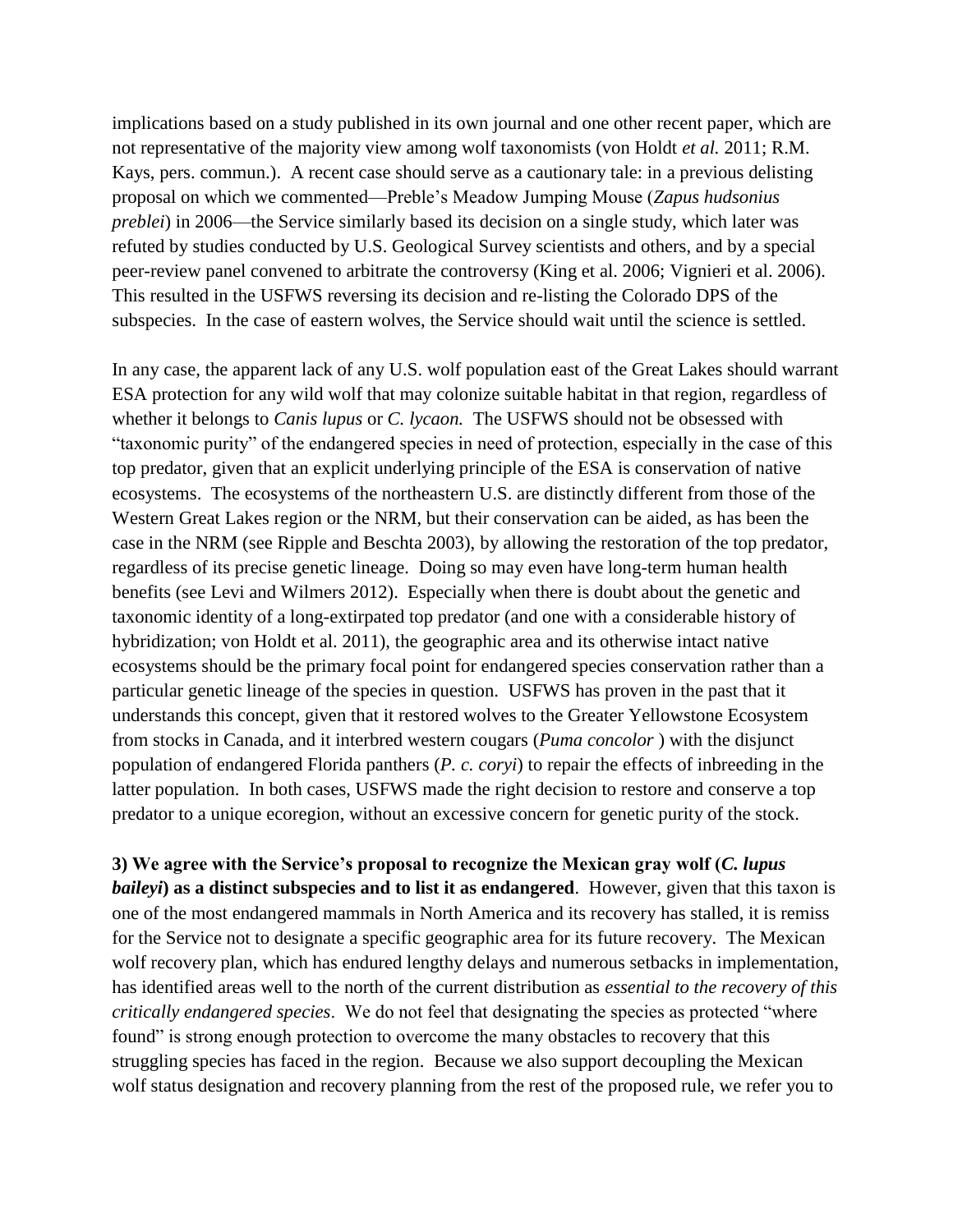implications based on a study published in its own journal and one other recent paper, which are not representative of the majority view among wolf taxonomists (von Holdt *et al.* 2011; R.M. Kays, pers. commun.). A recent case should serve as a cautionary tale: in a previous delisting proposal on which we commented—Preble's Meadow Jumping Mouse (*Zapus hudsonius preblei*) in 2006—the Service similarly based its decision on a single study, which later was refuted by studies conducted by U.S. Geological Survey scientists and others, and by a special peer-review panel convened to arbitrate the controversy (King et al. 2006; Vignieri et al. 2006). This resulted in the USFWS reversing its decision and re-listing the Colorado DPS of the subspecies. In the case of eastern wolves, the Service should wait until the science is settled.

In any case, the apparent lack of any U.S. wolf population east of the Great Lakes should warrant ESA protection for any wild wolf that may colonize suitable habitat in that region, regardless of whether it belongs to *Canis lupus* or *C. lycaon.* The USFWS should not be obsessed with "taxonomic purity" of the endangered species in need of protection, especially in the case of this top predator, given that an explicit underlying principle of the ESA is conservation of native ecosystems. The ecosystems of the northeastern U.S. are distinctly different from those of the Western Great Lakes region or the NRM, but their conservation can be aided, as has been the case in the NRM (see Ripple and Beschta 2003), by allowing the restoration of the top predator, regardless of its precise genetic lineage. Doing so may even have long-term human health benefits (see Levi and Wilmers 2012). Especially when there is doubt about the genetic and taxonomic identity of a long-extirpated top predator (and one with a considerable history of hybridization; von Holdt et al. 2011), the geographic area and its otherwise intact native ecosystems should be the primary focal point for endangered species conservation rather than a particular genetic lineage of the species in question. USFWS has proven in the past that it understands this concept, given that it restored wolves to the Greater Yellowstone Ecosystem from stocks in Canada, and it interbred western cougars (*Puma concolor* ) with the disjunct population of endangered Florida panthers (*P. c. coryi*) to repair the effects of inbreeding in the latter population. In both cases, USFWS made the right decision to restore and conserve a top predator to a unique ecoregion, without an excessive concern for genetic purity of the stock.

**3) We agree with the Service's proposal to recognize the Mexican gray wolf (***C. lupus baileyi***) as a distinct subspecies and to list it as endangered**. However, given that this taxon is one of the most endangered mammals in North America and its recovery has stalled, it is remiss for the Service not to designate a specific geographic area for its future recovery. The Mexican wolf recovery plan, which has endured lengthy delays and numerous setbacks in implementation, has identified areas well to the north of the current distribution as *essential to the recovery of this critically endangered species*. We do not feel that designating the species as protected "where found" is strong enough protection to overcome the many obstacles to recovery that this struggling species has faced in the region. Because we also support decoupling the Mexican wolf status designation and recovery planning from the rest of the proposed rule, we refer you to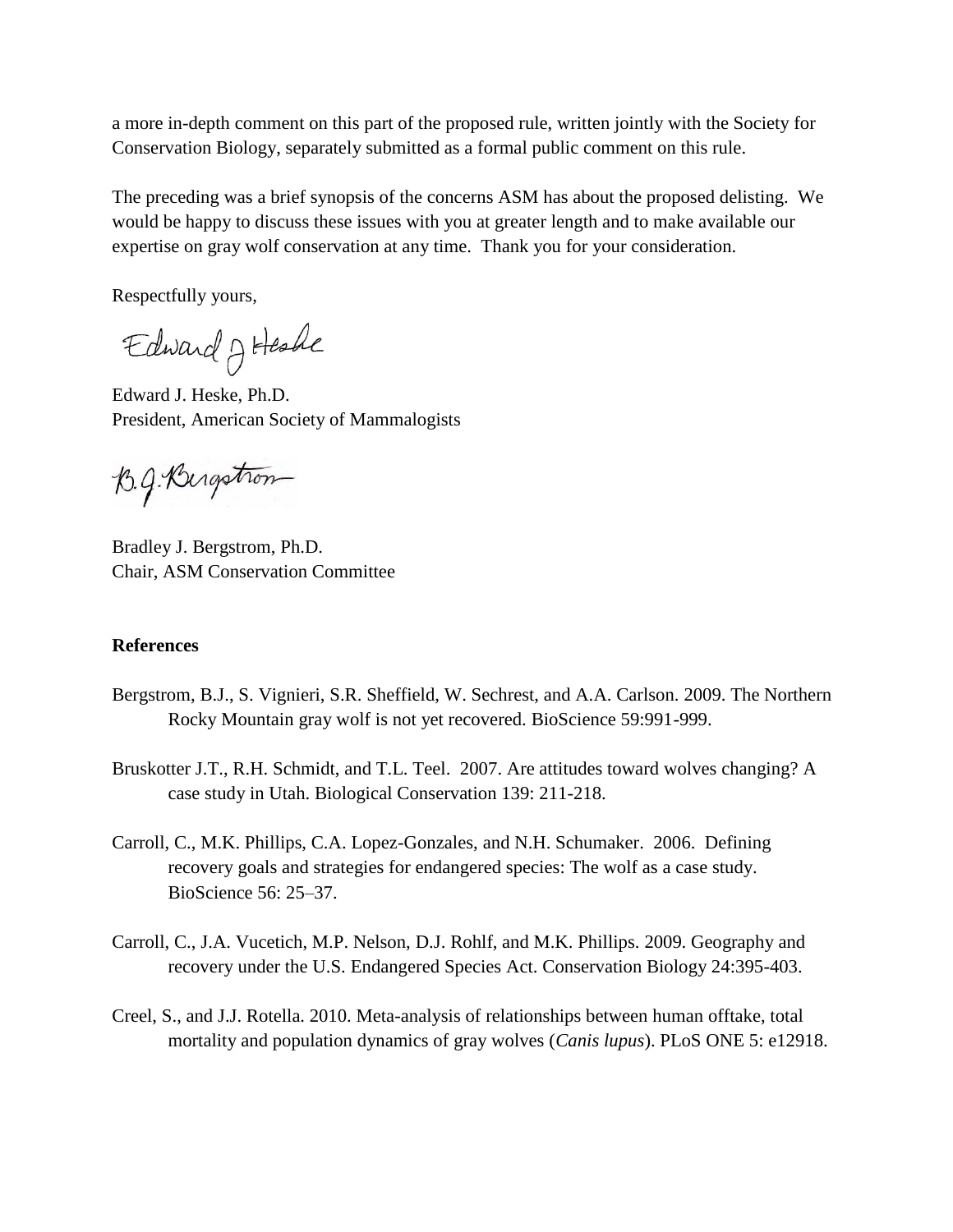a more in-depth comment on this part of the proposed rule, written jointly with the Society for Conservation Biology, separately submitted as a formal public comment on this rule.

The preceding was a brief synopsis of the concerns ASM has about the proposed delisting. We would be happy to discuss these issues with you at greater length and to make available our expertise on gray wolf conservation at any time. Thank you for your consideration.

Respectfully yours,

Edward J Heshe

Edward J. Heske, Ph.D. President, American Society of Mammalogists

B.g. Bergstron

Bradley J. Bergstrom, Ph.D. Chair, ASM Conservation Committee

## **References**

- Bergstrom, B.J., S. Vignieri, S.R. Sheffield, W. Sechrest, and A.A. Carlson. 2009. The Northern Rocky Mountain gray wolf is not yet recovered. BioScience 59:991-999.
- Bruskotter J.T., R.H. Schmidt, and T.L. Teel. 2007. Are attitudes toward wolves changing? A case study in Utah. Biological Conservation 139: 211-218.
- Carroll, C., M.K. Phillips, C.A. Lopez-Gonzales, and N.H. Schumaker. 2006. Defining recovery goals and strategies for endangered species: The wolf as a case study. BioScience 56: 25–37.
- Carroll, C., J.A. Vucetich, M.P. Nelson, D.J. Rohlf, and M.K. Phillips. 2009. Geography and recovery under the U.S. Endangered Species Act. Conservation Biology 24:395-403.
- Creel, S., and J.J. Rotella. 2010. Meta-analysis of relationships between human offtake, total mortality and population dynamics of gray wolves (*Canis lupus*). PLoS ONE 5: e12918.